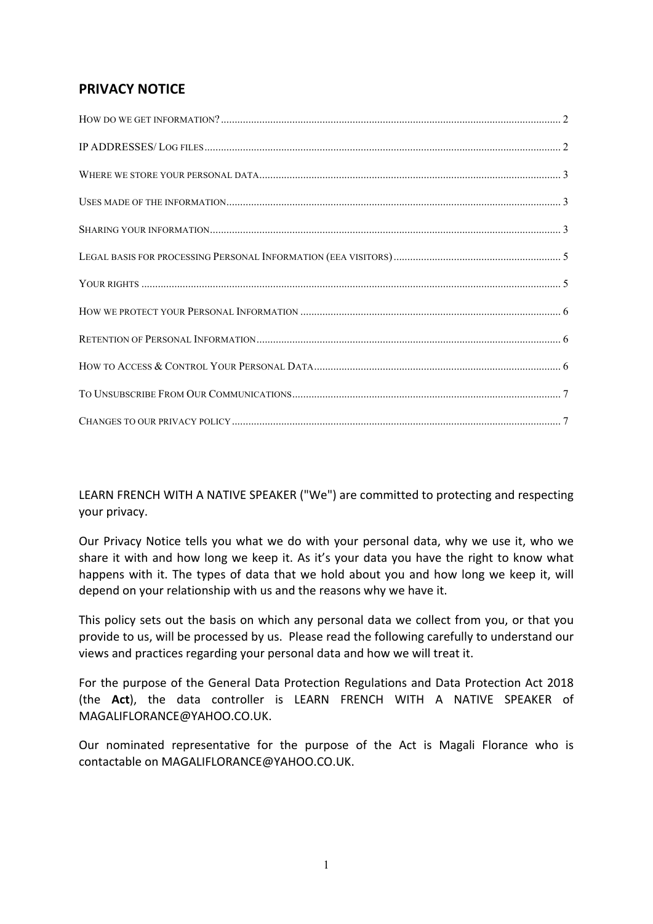# **PRIVACY NOTICE**

LEARN FRENCH WITH A NATIVE SPEAKER ("We") are committed to protecting and respecting your privacy.

Our Privacy Notice tells you what we do with your personal data, why we use it, who we share it with and how long we keep it. As it's your data you have the right to know what happens with it. The types of data that we hold about you and how long we keep it, will depend on your relationship with us and the reasons why we have it.

This policy sets out the basis on which any personal data we collect from you, or that you provide to us, will be processed by us. Please read the following carefully to understand our views and practices regarding your personal data and how we will treat it.

For the purpose of the General Data Protection Regulations and Data Protection Act 2018 (the Act), the data controller is LEARN FRENCH WITH A NATIVE SPEAKER of MAGALIFLORANCE@YAHOO.CO.UK. 

Our nominated representative for the purpose of the Act is Magali Florance who is contactable on MAGALIFLORANCE@YAHOO.CO.UK.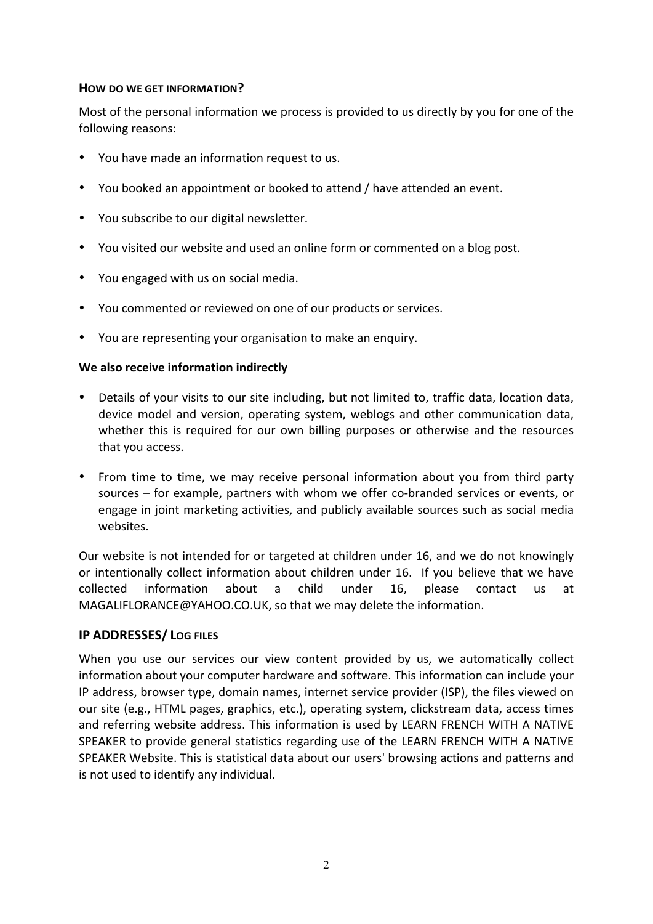## **HOW DO WE GET INFORMATION?**

Most of the personal information we process is provided to us directly by you for one of the following reasons:

- You have made an information request to us.
- You booked an appointment or booked to attend / have attended an event.
- You subscribe to our digital newsletter.
- You visited our website and used an online form or commented on a blog post.
- You engaged with us on social media.
- You commented or reviewed on one of our products or services.
- You are representing your organisation to make an enquiry.

## We also receive information indirectly

- Details of your visits to our site including, but not limited to, traffic data, location data, device model and version, operating system, weblogs and other communication data, whether this is required for our own billing purposes or otherwise and the resources that you access.
- From time to time, we may receive personal information about you from third party sources – for example, partners with whom we offer co-branded services or events, or engage in joint marketing activities, and publicly available sources such as social media websites.

Our website is not intended for or targeted at children under 16, and we do not knowingly or intentionally collect information about children under 16. If you believe that we have collected information about a child under 16, please contact us at MAGALIFLORANCE@YAHOO.CO.UK, so that we may delete the information.

## **IP ADDRESSES/ LOG FILES**

When you use our services our view content provided by us, we automatically collect information about your computer hardware and software. This information can include your IP address, browser type, domain names, internet service provider (ISP), the files viewed on our site (e.g., HTML pages, graphics, etc.), operating system, clickstream data, access times and referring website address. This information is used by LEARN FRENCH WITH A NATIVE SPEAKER to provide general statistics regarding use of the LEARN FRENCH WITH A NATIVE SPEAKER Website. This is statistical data about our users' browsing actions and patterns and is not used to identify any individual.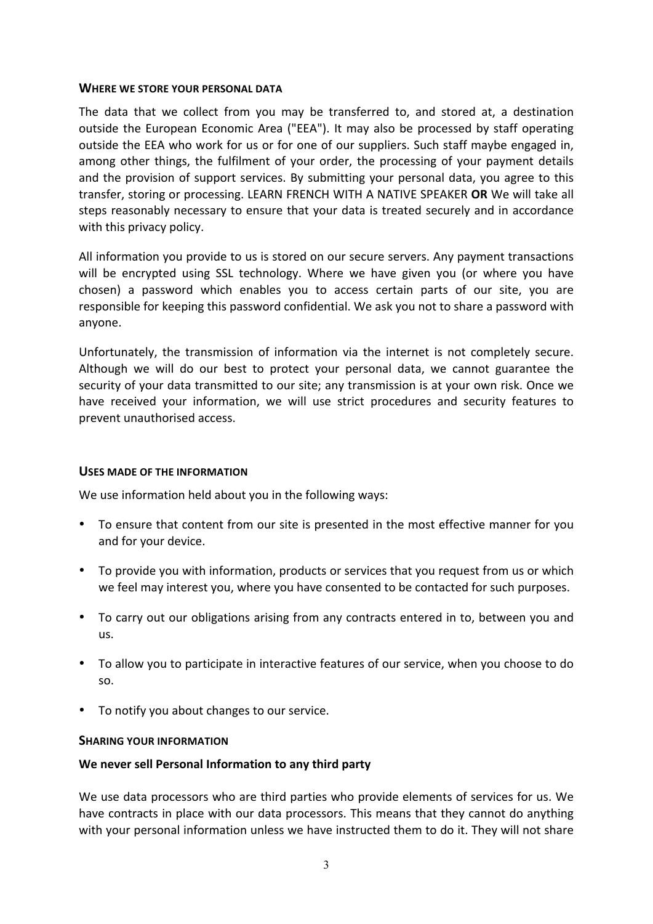#### **WHERE WE STORE YOUR PERSONAL DATA**

The data that we collect from you may be transferred to, and stored at, a destination outside the European Economic Area ("EEA"). It may also be processed by staff operating outside the EEA who work for us or for one of our suppliers. Such staff maybe engaged in, among other things, the fulfilment of your order, the processing of your payment details and the provision of support services. By submitting your personal data, you agree to this transfer, storing or processing. LEARN FRENCH WITH A NATIVE SPEAKER OR We will take all steps reasonably necessary to ensure that your data is treated securely and in accordance with this privacy policy.

All information you provide to us is stored on our secure servers. Any payment transactions will be encrypted using SSL technology. Where we have given you (or where you have chosen) a password which enables you to access certain parts of our site, you are responsible for keeping this password confidential. We ask you not to share a password with anyone.

Unfortunately, the transmission of information via the internet is not completely secure. Although we will do our best to protect your personal data, we cannot guarantee the security of your data transmitted to our site; any transmission is at your own risk. Once we have received your information, we will use strict procedures and security features to prevent unauthorised access.

## USES MADE OF THE INFORMATION

We use information held about you in the following ways:

- To ensure that content from our site is presented in the most effective manner for you and for your device.
- To provide you with information, products or services that you request from us or which we feel may interest you, where you have consented to be contacted for such purposes.
- To carry out our obligations arising from any contracts entered in to, between you and us.
- To allow you to participate in interactive features of our service, when you choose to do so.
- To notify you about changes to our service.

## **SHARING YOUR INFORMATION**

# We never sell Personal Information to any third party

We use data processors who are third parties who provide elements of services for us. We have contracts in place with our data processors. This means that they cannot do anything with your personal information unless we have instructed them to do it. They will not share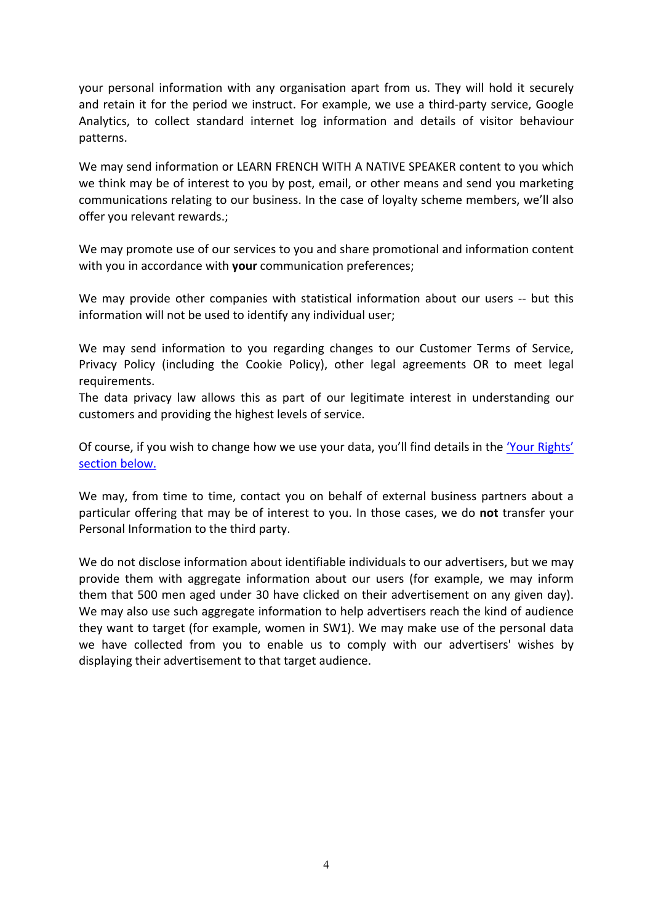your personal information with any organisation apart from us. They will hold it securely and retain it for the period we instruct. For example, we use a third-party service, Google Analytics, to collect standard internet log information and details of visitor behaviour patterns.

We may send information or LEARN FRENCH WITH A NATIVE SPEAKER content to you which we think may be of interest to you by post, email, or other means and send you marketing communications relating to our business. In the case of loyalty scheme members, we'll also offer you relevant rewards.:

We may promote use of our services to you and share promotional and information content with you in accordance with your communication preferences;

We may provide other companies with statistical information about our users -- but this information will not be used to identify any individual user;

We may send information to you regarding changes to our Customer Terms of Service, Privacy Policy (including the Cookie Policy), other legal agreements OR to meet legal requirements.

The data privacy law allows this as part of our legitimate interest in understanding our customers and providing the highest levels of service.

Of course, if you wish to change how we use your data, you'll find details in the 'Your Rights' section below.

We may, from time to time, contact you on behalf of external business partners about a particular offering that may be of interest to you. In those cases, we do **not** transfer your Personal Information to the third party.

We do not disclose information about identifiable individuals to our advertisers, but we may provide them with aggregate information about our users (for example, we may inform them that 500 men aged under 30 have clicked on their advertisement on any given day). We may also use such aggregate information to help advertisers reach the kind of audience they want to target (for example, women in SW1). We may make use of the personal data we have collected from you to enable us to comply with our advertisers' wishes by displaying their advertisement to that target audience.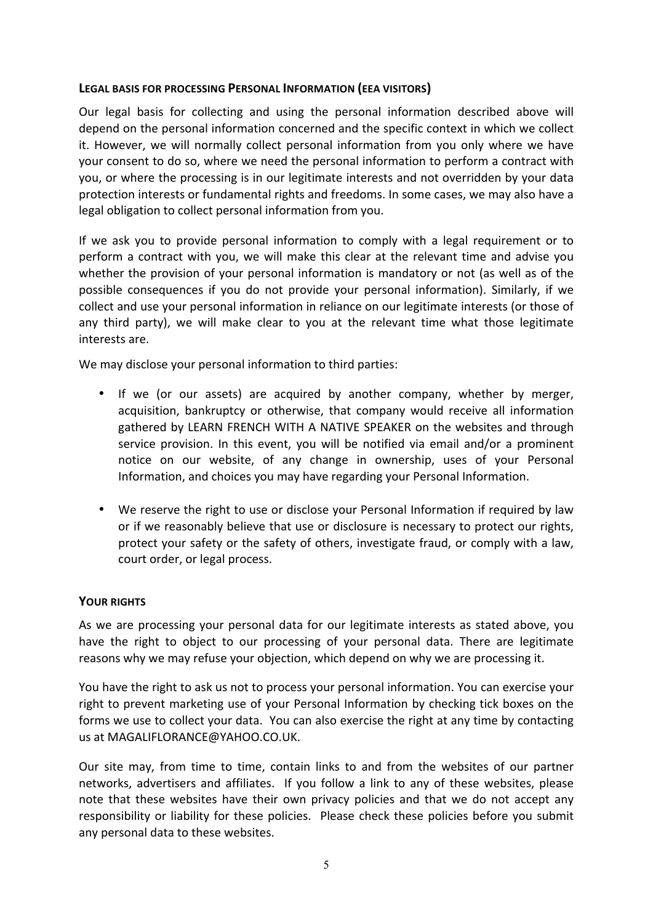## LEGAL BASIS FOR PROCESSING PERSONAL INFORMATION (EEA VISITORS)

Our legal basis for collecting and using the personal information described above will depend on the personal information concerned and the specific context in which we collect it. However, we will normally collect personal information from you only where we have your consent to do so, where we need the personal information to perform a contract with you, or where the processing is in our legitimate interests and not overridden by your data protection interests or fundamental rights and freedoms. In some cases, we may also have a legal obligation to collect personal information from you.

If we ask you to provide personal information to comply with a legal requirement or to perform a contract with you, we will make this clear at the relevant time and advise you whether the provision of your personal information is mandatory or not (as well as of the possible consequences if you do not provide your personal information). Similarly, if we collect and use your personal information in reliance on our legitimate interests (or those of any third party), we will make clear to you at the relevant time what those legitimate interests are.

We may disclose your personal information to third parties:

- If we (or our assets) are acquired by another company, whether by merger, acquisition, bankruptcy or otherwise, that company would receive all information gathered by LEARN FRENCH WITH A NATIVE SPEAKER on the websites and through service provision. In this event, you will be notified via email and/or a prominent notice on our website, of any change in ownership, uses of your Personal Information, and choices you may have regarding your Personal Information.
- We reserve the right to use or disclose your Personal Information if required by law or if we reasonably believe that use or disclosure is necessary to protect our rights, protect your safety or the safety of others, investigate fraud, or comply with a law, court order, or legal process.

## **YOUR RIGHTS**

As we are processing your personal data for our legitimate interests as stated above, you have the right to object to our processing of your personal data. There are legitimate reasons why we may refuse your objection, which depend on why we are processing it.

You have the right to ask us not to process your personal information. You can exercise your right to prevent marketing use of your Personal Information by checking tick boxes on the forms we use to collect your data. You can also exercise the right at any time by contacting us at MAGALIFLORANCE@YAHOO.CO.UK.

Our site may, from time to time, contain links to and from the websites of our partner networks, advertisers and affiliates. If you follow a link to any of these websites, please note that these websites have their own privacy policies and that we do not accept any responsibility or liability for these policies. Please check these policies before you submit any personal data to these websites.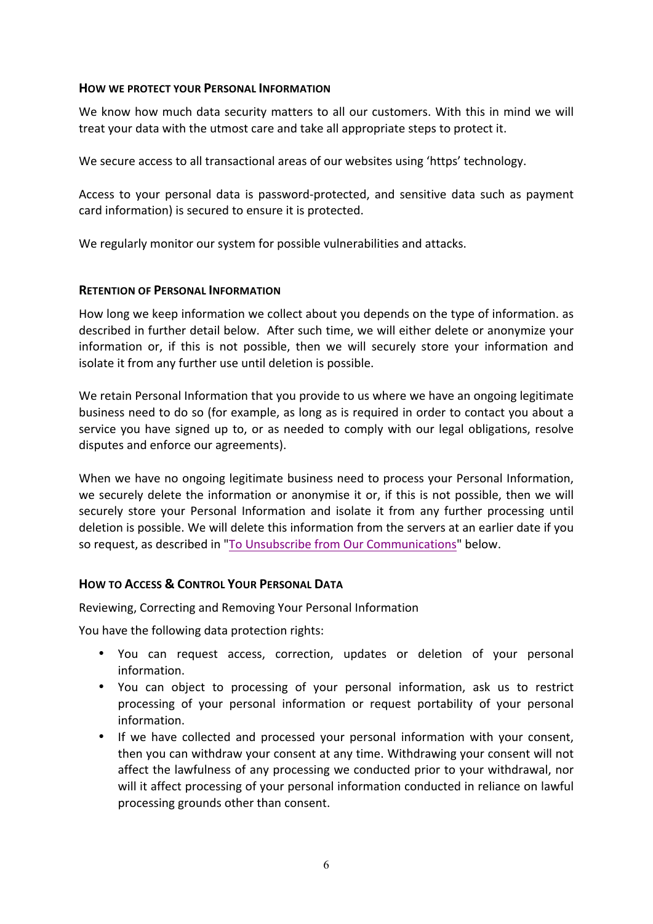## **HOW WE PROTECT YOUR PERSONAL INFORMATION**

We know how much data security matters to all our customers. With this in mind we will treat your data with the utmost care and take all appropriate steps to protect it.

We secure access to all transactional areas of our websites using 'https' technology.

Access to your personal data is password-protected, and sensitive data such as payment card information) is secured to ensure it is protected.

We regularly monitor our system for possible vulnerabilities and attacks.

## **RETENTION OF PERSONAL INFORMATION**

How long we keep information we collect about you depends on the type of information. as described in further detail below. After such time, we will either delete or anonymize your information or, if this is not possible, then we will securely store your information and isolate it from any further use until deletion is possible.

We retain Personal Information that you provide to us where we have an ongoing legitimate business need to do so (for example, as long as is required in order to contact you about a service you have signed up to, or as needed to comply with our legal obligations, resolve disputes and enforce our agreements).

When we have no ongoing legitimate business need to process your Personal Information, we securely delete the information or anonymise it or, if this is not possible, then we will securely store your Personal Information and isolate it from any further processing until deletion is possible. We will delete this information from the servers at an earlier date if you so request, as described in "To Unsubscribe from Our Communications" below.

## **HOW TO ACCESS & CONTROL YOUR PERSONAL DATA**

Reviewing, Correcting and Removing Your Personal Information

You have the following data protection rights:

- You can request access, correction, updates or deletion of your personal information.
- You can object to processing of your personal information, ask us to restrict processing of your personal information or request portability of your personal information.
- If we have collected and processed your personal information with your consent, then you can withdraw your consent at any time. Withdrawing your consent will not affect the lawfulness of any processing we conducted prior to your withdrawal, nor will it affect processing of your personal information conducted in reliance on lawful processing grounds other than consent.